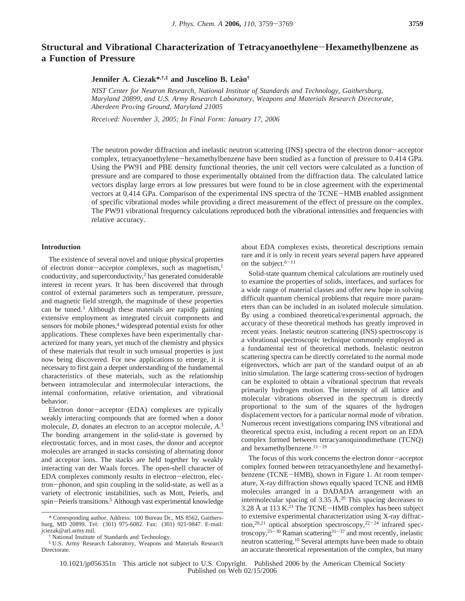# **Structural and Vibrational Characterization of Tetracyanoethylene**-**Hexamethylbenzene as a Function of Pressure**

# **Jennifer A. Ciezak\*,†,‡ and Juscelino B. Lea**˜**o†**

*NIST Center for Neutron Research, National Institute of Standards and Technology, Gaithersburg, Maryland 20899, and U.S. Army Research Laboratory, Weapons and Materials Research Directorate, Aberdeen Pro*V*ing Ground, Maryland 21005*

*Recei*V*ed: No*V*ember 3, 2005; In Final Form: January 17, 2006*

The neutron powder diffraction and inelastic neutron scattering (INS) spectra of the electron donor-acceptor complex, tetracyanoethylene-hexamethylbenzene have been studied as a function of pressure to 0.414 GPa. Using the PW91 and PBE density functional theories, the unit cell vectors were calculated as a function of pressure and are compared to those experimentally obtained from the diffraction data. The calculated lattice vectors display large errors at low pressures but were found to be in close agreement with the experimental vectors at 0.414 GPa. Comparison of the experimental INS spectra of the TCNE-HMB enabled assignment of specific vibrational modes while providing a direct measurement of the effect of pressure on the complex. The PW91 vibrational frequency calculations reproduced both the vibrational intensities and frequencies with relative accuracy.

# **Introduction**

The existence of several novel and unique physical properties of electron donor-acceptor complexes, such as magnetism,<sup>1</sup> conductivity, and superconductivity, $2$  has generated considerable interest in recent years. It has been discovered that through control of external parameters such as temperature, pressure, and magnetic field strength, the magnitude of these properties can be tuned.3 Although these materials are rapidly gaining extensive employment as integrated circuit components and sensors for mobile phones,<sup>4</sup> widespread potential exists for other applications. These complexes have been experimentally characterized for many years, yet much of the chemistry and physics of these materials that result in such unusual properties is just now being discovered. For new applications to emerge, it is necessary to first gain a deeper understanding of the fundamental characteristics of these materials, such as the relationship between intramolecular and intermolecular interactions, the internal conformation, relative orientation, and vibrational behavior.

Electron donor-acceptor (EDA) complexes are typically weakly interacting compounds that are formed when a donor molecule, *D,* donates an electron to an acceptor molecule, *A*. 3 The bonding arrangement in the solid-state is governed by electrostatic forces, and in most cases, the donor and acceptor molecules are arranged in stacks consisting of alternating donor and acceptor ions. The stacks are held together by weakly interacting van der Waals forces. The open-shell character of EDA complexes commonly results in electron-electron, electron-phonon, and spin coupling in the solid-state, as well as a variety of electronic instabilities, such as Mott, Peierls, and spin-Peierls transitions.<sup>5</sup> Although vast experimental knowledge

about EDA complexes exists, theoretical descriptions remain rare and it is only in recent years several papers have appeared on the subject. $6-11$ 

Solid-state quantum chemical calculations are routinely used to examine the properties of solids, interfaces, and surfaces for a wide range of material classes and offer new hope in solving difficult quantum chemical problems that require more parameters than can be included in an isolated molecule simulation. By using a combined theoretical/experimental approach, the accuracy of these theoretical methods has greatly improved in recent years. Inelastic neutron scattering (INS) spectroscopy is a vibrational spectroscopic technique commonly employed as a fundamental test of theoretical methods. Inelastic neutron scattering spectra can be directly correlated to the normal mode eigenvectors, which are part of the standard output of an ab initio simulation. The large scattering cross-section of hydrogen can be exploited to obtain a vibrational spectrum that reveals primarily hydrogen motion. The intensity of all lattice and molecular vibrations observed in the spectrum is directly proportional to the sum of the squares of the hydrogen displacement vectors for a particular normal mode of vibration. Numerous recent investigations comparing INS vibrational and theoretical spectra exist, including a recent report on an EDA complex formed between tetracyanoquinodimethane (TCNQ) and hexamethylbenzene.<sup>11-19</sup>

The focus of this work concerns the electron donor-acceptor complex formed between tetracyanoethylene and hexamethylbenzene (TCNE-HMB), shown in Figure 1. At room temperature, X-ray diffraction shows equally spaced TCNE and HMB molecules arranged in a DADADA arrangement with an intermolecular spacing of  $3.35 \text{ Å}^{20}$  This spacing decreases to 3.28 Å at 113 K. $^{21}$  The TCNE-HMB complex has been subject to extensive experimental characterization using X-ray diffraction,<sup>20,21</sup> optical absorption spectroscopy,<sup>22-24</sup> infrared spectroscopy, $25-30$  Raman scattering  $31-37$  and most recently, inelastic neutron scattering.10 Several attempts have been made to obtain an accurate theoretical representation of the complex, but many

10.1021/jp056351n This article not subject to U.S. Copyright. Published 2006 by the American Chemical Society Published on Web 02/15/2006

<sup>\*</sup> Corresponding author. Address: 100 Bureau Dr., MS 8562, Gaithersburg, MD 20899. Tel: (301) 975-6082. Fax: (301) 921-9847. E-mail: jciezak@arl.army.mil.

National Institute of Standards and Technology.

<sup>‡</sup> U.S. Army Research Laboratory, Weapons and Materials Research Directorate.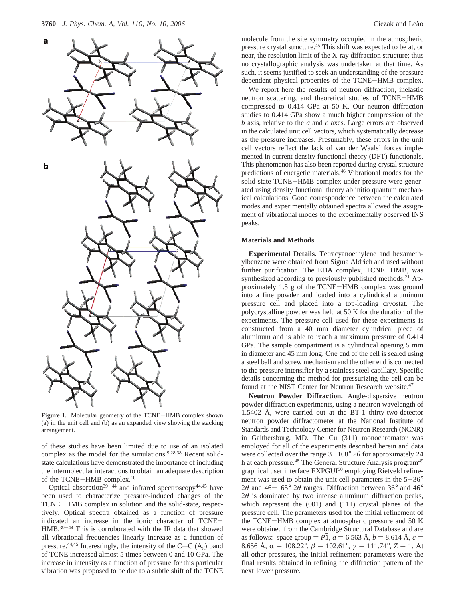

**Figure 1.** Molecular geometry of the TCNE-HMB complex shown (a) in the unit cell and (b) as an expanded view showing the stacking arrangement.

of these studies have been limited due to use of an isolated complex as the model for the simulations.<sup>9,28,38</sup> Recent solidstate calculations have demonstrated the importance of including the intermolecular interactions to obtain an adequate description of the TCNE-HMB complex.10

Optical absorption<sup>39-44</sup> and infrared spectroscopy<sup>44,45</sup> have been used to characterize pressure-induced changes of the TCNE-HMB complex in solution and the solid-state, respectively. Optical spectra obtained as a function of pressure indicated an increase in the ionic character of TCNE-HMB.39-<sup>44</sup> This is corroborated with the IR data that showed all vibrational frequencies linearly increase as a function of pressure.<sup>44,45</sup> Interestingly, the intensity of the C=C ( $A_g$ ) band of TCNE increased almost 5 times between 0 and 10 GPa. The increase in intensity as a function of pressure for this particular vibration was proposed to be due to a subtle shift of the TCNE molecule from the site symmetry occupied in the atmospheric pressure crystal structure.45 This shift was expected to be at, or near, the resolution limit of the X-ray diffraction structure; thus no crystallographic analysis was undertaken at that time. As such, it seems justified to seek an understanding of the pressure dependent physical properties of the TCNE-HMB complex.

We report here the results of neutron diffraction, inelastic neutron scattering, and theoretical studies of TCNE-HMB compressed to 0.414 GPa at 50 K. Our neutron diffraction studies to 0.414 GPa show a much higher compression of the *b* axis, relative to the *a* and *c* axes. Large errors are observed in the calculated unit cell vectors, which systematically decrease as the pressure increases. Presumably, these errors in the unit cell vectors reflect the lack of van der Waals' forces implemented in current density functional theory (DFT) functionals. This phenomenon has also been reported during crystal structure predictions of energetic materials.46 Vibrational modes for the solid-state TCNE-HMB complex under pressure were generated using density functional theory ab initio quantum mechanical calculations. Good correspondence between the calculated modes and experimentally obtained spectra allowed the assignment of vibrational modes to the experimentally observed INS peaks.

## **Materials and Methods**

**Experimental Details.** Tetracyanoethylene and hexamethylbenzene were obtained from Sigma Aldrich and used without further purification. The EDA complex, TCNE-HMB, was synthesized according to previously published methods.<sup>21</sup> Approximately 1.5 g of the TCNE-HMB complex was ground into a fine powder and loaded into a cylindrical aluminum pressure cell and placed into a top-loading cryostat. The polycrystalline powder was held at 50 K for the duration of the experiments. The pressure cell used for these experiments is constructed from a 40 mm diameter cylindrical piece of aluminum and is able to reach a maximum pressure of 0.414 GPa. The sample compartment is a cylindrical opening 5 mm in diameter and 45 mm long. One end of the cell is sealed using a steel ball and screw mechanism and the other end is connected to the pressure intensifier by a stainless steel capillary. Specific details concerning the method for pressurizing the cell can be found at the NIST Center for Neutron Research website.<sup>47</sup>

**Neutron Powder Diffraction.** Angle-dispersive neutron powder diffraction experiments, using a neutron wavelength of 1.5402 Å, were carried out at the BT-1 thirty-two-detector neutron powder diffractometer at the National Institute of Standards and Technology Center for Neutron Research (NCNR) in Gaithersburg, MD. The Cu (311) monochromator was employed for all of the experiments described herein and data were collected over the range  $3-168^\circ$  2 $\theta$  for approximately 24 h at each pressure.<sup>48</sup> The General Structure Analysis program<sup>49</sup> graphical user interface EXPGUI<sup>50</sup> employing Rietveld refinement was used to obtain the unit cell parameters in the  $5-36^\circ$ 2 $\theta$  and 46-165° 2 $\theta$  ranges. Diffraction between 36° and 46°  $2\theta$  is dominated by two intense aluminum diffraction peaks, which represent the (001) and (111) crystal planes of the pressure cell. The parameters used for the initial refinement of the TCNE-HMB complex at atmospheric pressure and 50 K were obtained from the Cambridge Structural Database and are as follows: space group  $= P\bar{1}$ ,  $a = 6.563 \text{ Å}$ ,  $b = 8.614 \text{ Å}$ ,  $c =$ 8.656 Å,  $\alpha = 108.22^{\circ}, \beta = 102.61^{\circ}, \gamma = 111.74^{\circ}, Z = 1$ . At all other pressures, the initial refinement parameters were the final results obtained in refining the diffraction pattern of the next lower pressure.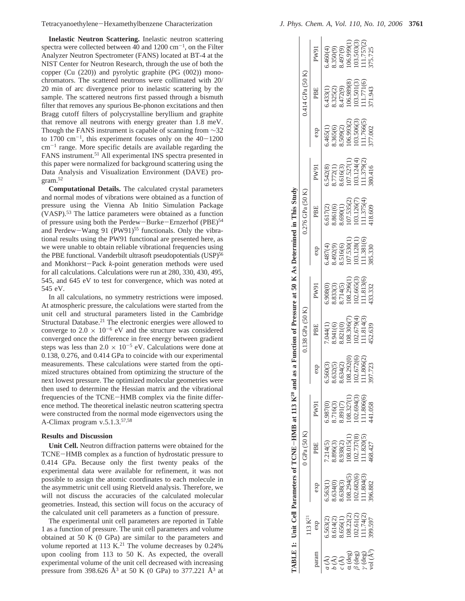Tetracyanoethylene-Hexamethylbenzene Characterization *J. Phys. Chem. A, Vol. 110, No. 10, 2006* **<sup>3761</sup>**

**Inelastic Neutron Scattering.** Inelastic neutron scattering spectra were collected between 40 and  $1200 \text{ cm}^{-1}$ , on the Filter Analyzer Neutron Spectrometer (FANS) located at BT-4 at the NIST Center for Neutron Research, through the use of both the copper (Cu (220)) and pyrolytic graphite (PG (002)) monochromators. The scattered neutrons were collimated with 20/ 20 min of arc divergence prior to inelastic scattering by the sample. The scattered neutrons first passed through a bismuth filter that removes any spurious Be-phonon excitations and then Bragg cutoff filters of polycrystalline beryllium and graphite that remove all neutrons with energy greater than 1.8 meV. Though the FANS instrument is capable of scanning from ∼32 to 1700  $\text{cm}^{-1}$ , this experiment focuses only on the 40-1200  $cm^{-1}$  range. More specific details are available regarding the FANS instrument.<sup>51</sup> All experimental INS spectra presented in this paper were normalized for background scattering using the Data Analysis and Visualization Environment (DAVE) program.52

**Computational Details.** The calculated crystal parameters and normal modes of vibrations were obtained as a function of pressure using the Vienna Ab Initio Simulation Package (VASP).53 The lattice parameters were obtained as a function of pressure using both the Perdew-Burke-Ernzerhof (PBE)<sup>54</sup> and Perdew-Wang 91 (PW91)<sup>55</sup> functionals. Only the vibrational results using the PW91 functional are presented here, as we were unable to obtain reliable vibrational frequencies using the PBE functional. Vanderbilt ultrasoft pseudopotentials (USP)<sup>56</sup> and Monkhorst-Pack *<sup>k</sup>*-point generation methods were used for all calculations. Calculations were run at 280, 330, 430, 495, 545, and 645 eV to test for convergence, which was noted at 545 eV.

In all calculations, no symmetry restrictions were imposed. At atmospheric pressure, the calculations were started from the unit cell and structural parameters listed in the Cambridge Structural Database.<sup>21</sup> The electronic energies were allowed to converge to  $2.0 \times 10^{-6}$  eV and the structure was considered converged once the difference in free energy between gradient steps was less than  $2.0 \times 10^{-5}$  eV. Calculations were done at 0.138, 0.276, and 0.414 GPa to coincide with our experimental measurements. These calculations were started from the optimized structures obtained from optimizing the structure of the next lowest pressure. The optimized molecular geometries were then used to determine the Hessian matrix and the vibrational frequencies of the TCNE-HMB complex via the finite difference method. The theoretical inelastic neutron scattering spectra were constructed from the normal mode eigenvectors using the A-Climax program  $v.5.1.3^{57,58}$ 

### **Results and Discussion**

**Unit Cell.** Neutron diffraction patterns were obtained for the TCNE-HMB complex as a function of hydrostatic pressure to 0.414 GPa. Because only the first twenty peaks of the experimental data were available for refinement, it was not possible to assign the atomic coordinates to each molecule in the asymmetric unit cell using Rietveld analysis. Therefore, we will not discuss the accuracies of the calculated molecular geometries. Instead, this section will focus on the accuracy of the calculated unit cell parameters as a function of pressure.

The experimental unit cell parameters are reported in Table 1 as a function of pressure. The unit cell parameters and volume obtained at 50 K (0 GPa) are similar to the parameters and volume reported at 113 K.<sup>21</sup> The volume decreases by  $0.24\%$ upon cooling from 113 to 50 K. As expected, the overall experimental volume of the unit cell decreased with increasing pressure from 398.626  $\AA^3$  at 50 K (0 GPa) to 377.221  $\AA^3$  at

| $(\deg)$                              | 5.563(2)<br>3.614(2)<br>3.656(1)<br>08.22(2)<br>13 K <sup>21</sup><br>exp | 5.563(1)<br>8.634(0)<br>8.638(3)<br>108.294(5)<br>102.682(6) | O(12a(50K))<br>$\begin{array}{c} \text{3.938(2)}\\ \text{108.015(1)}\\ \text{102.737(8)}\\ \text{111.820(5)}\\ \text{111.820(5)}\\ \text{468.427}\end{array}$<br>3.896(3)<br>7.214(5) | ABLE 1: Unit Cell Parameters of TCNE-HMB at 113 K <sup>20</sup> and as a Function of Pressure at 50 K As Determined in This Study<br>$\begin{array}{l} (08.327(1) \\ (02.694(3) \\ (11.806(6) \\ 44.058 \end{array}$<br>8.716(3)<br>3.891(7)<br><b>PW91</b><br>.987(0) | 3.292(0)<br>2.672(6)<br>.806(2)<br>.723<br>5.560(3)<br>3.632(5)<br>3.634(2)<br>$\exp$ | .138 GPa (50 K)<br>08.306(7<br>8.941(6)<br>8.821(0)<br>(1)44(1)<br>PBE | $\begin{array}{c} (08.296(1) \\ 02.665(3) \\ 11.813(6) \end{array}$<br>5.908(0)<br>3.833(3)<br>3.714(5)<br>PW91 | 5.487(4)<br>8.492(9)<br>8.516(6)<br>107.530(1)<br>103.128(1)<br>11.381(6)<br>11.381.330<br>exp | 0.276 GPa (50 K)<br>5.617(2)<br>8.861(6)<br>8.690(1)<br>107.535(2)<br>103.126(7)<br>11.375(4)<br>11.375(4)<br>PBE | 5.542(8)<br>8.772(1)<br>8.616(3)<br>107.527(1)<br>103.124(4)<br>111.379(2)<br>111.379(2)<br>PW91 | 5.465(1)<br>3.365(6)<br>3.509(2)<br>106.993(2)<br>103.506(3)<br>11.766(5)<br>exp | $0.414$ GPa $(50 K)$<br>$6.433(1)$<br>8.325(2)<br>8.472(9)<br>96.989(8)<br>PBE | 5.460(4)<br>3.350(9)<br>3.497(9)<br>106.999(1)<br>103.503(3)<br>111.757(2)<br>111.757(2)<br>PW91 |
|---------------------------------------|---------------------------------------------------------------------------|--------------------------------------------------------------|---------------------------------------------------------------------------------------------------------------------------------------------------------------------------------------|------------------------------------------------------------------------------------------------------------------------------------------------------------------------------------------------------------------------------------------------------------------------|---------------------------------------------------------------------------------------|------------------------------------------------------------------------|-----------------------------------------------------------------------------------------------------------------|------------------------------------------------------------------------------------------------|-------------------------------------------------------------------------------------------------------------------|--------------------------------------------------------------------------------------------------|----------------------------------------------------------------------------------|--------------------------------------------------------------------------------|--------------------------------------------------------------------------------------------------|
| $(\text{deg})$                        | 102.61(2)<br>111.74(2)<br>399.597                                         | 1.804(3)                                                     |                                                                                                                                                                                       |                                                                                                                                                                                                                                                                        |                                                                                       | $(02.679(4))$<br>$(11.814(3))$                                         |                                                                                                                 |                                                                                                |                                                                                                                   |                                                                                                  |                                                                                  | 103.501(3)<br>111.771(6)<br>371.943                                            |                                                                                                  |
| $v$ (deg)<br>$v$ ol (Å <sup>3</sup> ) |                                                                           | 396.882                                                      |                                                                                                                                                                                       |                                                                                                                                                                                                                                                                        |                                                                                       | 152.639                                                                | 133.332                                                                                                         |                                                                                                |                                                                                                                   |                                                                                                  | 77.002                                                                           |                                                                                |                                                                                                  |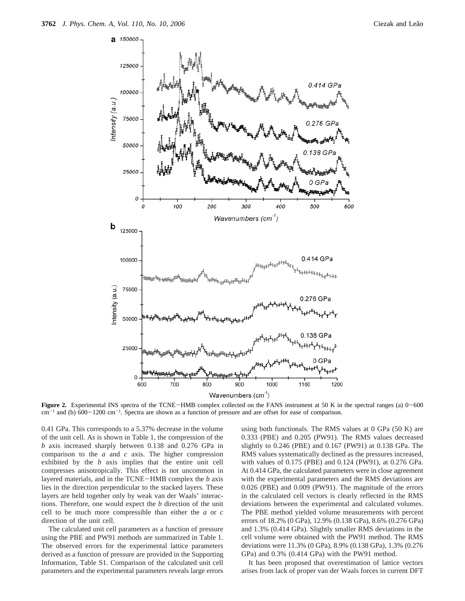

**Figure 2.** Experimental INS spectra of the TCNE-HMB complex collected on the FANS instrument at 50 K in the spectral ranges (a)  $0-600$  $cm^{-1}$  and (b)  $600-1200$  cm<sup>-1</sup>. Spectra are shown as a function of pressure and are offset for ease of comparison.

0.41 GPa. This corresponds to a 5.37% decrease in the volume of the unit cell. As is shown in Table 1, the compression of the *b* axis increased sharply between 0.138 and 0.276 GPa in comparison to the *a* and *c* axis. The higher compression exhibited by the *b* axis implies that the entire unit cell compresses anisotropically. This effect is not uncommon in layered materials, and in the TCNE-HMB complex the *<sup>b</sup>* axis lies in the direction perpendicular to the stacked layers. These layers are held together only by weak van der Waals' interactions. Therefore, one would expect the *b* direction of the unit cell to be much more compressible than either the *a* or *c* direction of the unit cell.

The calculated unit cell parameters as a function of pressure using the PBE and PW91 methods are summarized in Table 1. The observed errors for the experimental lattice parameters derived as a function of pressure are provided in the Supporting Information, Table S1. Comparison of the calculated unit cell parameters and the experimental parameters reveals large errors

using both functionals. The RMS values at 0 GPa (50 K) are 0.333 (PBE) and 0.205 (PW91). The RMS values decreased slightly to 0.246 (PBE) and 0.167 (PW91) at 0.138 GPa. The RMS values systematically declined as the pressures increased, with values of 0.175 (PBE) and 0.124 (PW91), at 0.276 GPa. At 0.414 GPa, the calculated parameters were in close agreement with the experimental parameters and the RMS deviations are 0.026 (PBE) and 0.009 (PW91). The magnitude of the errors in the calculated cell vectors is clearly reflected in the RMS deviations between the experimental and calculated volumes. The PBE method yielded volume measurements with percent errors of 18.2% (0 GPa), 12.9% (0.138 GPa), 8.6% (0.276 GPa) and 1.3% (0.414 GPa). Slightly smaller RMS deviations in the cell volume were obtained with the PW91 method. The RMS deviations were 11.3% (0 GPa), 8.9% (0.138 GPa), 1.3% (0.276 GPa) and 0.3% (0.414 GPa) with the PW91 method.

It has been proposed that overestimation of lattice vectors arises from lack of proper van der Waals forces in current DFT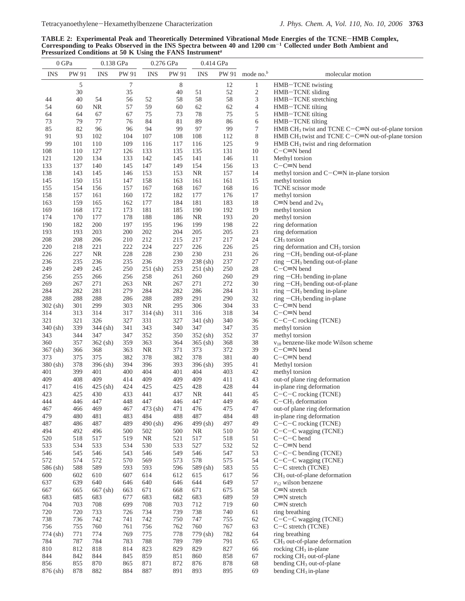TABLE 2: Experimental Peak and Theoretically Determined Vibrational Mode Energies of the TCNE–HMB Complex,<br>Corresponding to Peaks Observed in the INS Spectra between 40 and 1200 cm<sup>-1</sup> Collected under Both Ambient and<br>Pres

| 0 GPa             |            | 0.138 GPa       |            | 0.276 GPa         |            | 0.414 GPa         |            |              |                                                                                                                           |  |  |
|-------------------|------------|-----------------|------------|-------------------|------------|-------------------|------------|--------------|---------------------------------------------------------------------------------------------------------------------------|--|--|
| <b>INS</b>        | PW 91      | <b>INS</b>      | PW 91      | <b>INS</b>        | PW 91      | <b>INS</b>        | PW 91      | mode no. $b$ | molecular motion                                                                                                          |  |  |
|                   | 5          |                 | 7          |                   | 8          |                   | 12         | $\mathbf{1}$ | HMB-TCNE twisting                                                                                                         |  |  |
|                   | 30         |                 | 35         |                   | 40         | 51                | 52         | 2            | HMB-TCNE sliding                                                                                                          |  |  |
| 44                | 40         | 54              | 56         | 52                | 58         | 58                | 58         | 3            | HMB-TCNE stretching                                                                                                       |  |  |
| 54                | 60         | <b>NR</b>       | 57         | 59                | 60         | 62                | 62         | 4            | HMB-TCNE tilting                                                                                                          |  |  |
| 64                | 64         | 67              | 67         | 75                | 73         | 78                | 75         | 5            | HMB-TCNE tilting                                                                                                          |  |  |
| 73                | 79         | 77              | 76         | 84                | 81         | 89                | 86         | 6            | HMB-TCNE tilting                                                                                                          |  |  |
| 85<br>91          | 82<br>93   | 96<br>102       | 96         | 94<br>107         | 99         | 97<br>108         | 99<br>112  | 7<br>8       | HMB CH <sub>3</sub> twist and TCNE C $-C \equiv N$ out-of-plane torsion                                                   |  |  |
| 99                | 101        | 110             | 104<br>109 | 116               | 108<br>117 | 116               | 125        | 9            | HMB CH <sub>3</sub> twist and TCNE C $-C \equiv N$ out-of-plane torsion<br>HMB CH <sub>3</sub> twist and ring deformation |  |  |
| 108               | 110        | 127             | 126        | 133               | 135        | 135               | 131        | 10           | $C-C=N$ bend                                                                                                              |  |  |
| 121               | 120        | 134             | 133        | 142               | 145        | 141               | 146        | 11           | Methyl torsion                                                                                                            |  |  |
| 133               | 137        | 140             | 145        | 147               | 149        | 154               | 156        | 13           | $C-C=N$ bend                                                                                                              |  |  |
| 138               | 143        | 145             | 146        | 153               | 153        | <b>NR</b>         | 157        | 14           | methyl torsion and $C-C=N$ in-plane torsion                                                                               |  |  |
| 145               | 150        | 151             | 147        | 158               | 163        | 161               | 161        | 15           | methyl torsion                                                                                                            |  |  |
| 155               | 154        | 156             | 157        | 167               | 168        | 167               | 168        | 16           | TCNE scissor mode                                                                                                         |  |  |
| 158               | 157        | 161             | 160        | 172               | 182        | 177               | 176        | 17           | methyl torsion                                                                                                            |  |  |
| 163               | 159        | 165             | 162        | 177               | 184        | 181               | 183        | 18           | $C \equiv N$ bend and $2v_8$                                                                                              |  |  |
| 169               | 168        | 172             | 173        | 181               | 185        | 190               | 192        | 19           | methyl torsion                                                                                                            |  |  |
| 174               | 170<br>182 | 177<br>200      | 178<br>197 | 188<br>195        | 186        | <b>NR</b><br>199  | 193<br>198 | $20\,$<br>22 | methyl torsion                                                                                                            |  |  |
| 190<br>193        | 193        | 203             | 200        | 202               | 196<br>204 | 205               | 205        | 23           | ring deformation<br>ring deformation                                                                                      |  |  |
| 208               | 208        | 206             | 210        | 212               | 215        | 217               | 217        | 24           | $CH3$ torsion                                                                                                             |  |  |
| 220               | 218        | 221             | 222        | 224               | 227        | 226               | 226        | 25           | ring deformation and $CH3$ torsion                                                                                        |  |  |
| 226               | 227        | <b>NR</b>       | 228        | 228               | 230        | 230               | 231        | 26           | ring $-CH_3$ bending out-of-plane                                                                                         |  |  |
| 236               | 235        | 236             | 235        | 236               | 239        | 238 (sh)          | 237        | $27\,$       | $ring -CH_3$ bending out-of-plane                                                                                         |  |  |
| 249               | 249        | 245             | 250        | $251$ (sh)        | 253        | $251$ (sh)        | 250        | 28           | $C-C=N$ bend                                                                                                              |  |  |
| 256               | 255        | 266             | 256        | 258               | 261        | 260               | 260        | 29           | ring $-CH_3$ bending in-plane                                                                                             |  |  |
| 269               | 267        | 271             | 263        | NR.               | 267        | 271               | 272        | 30           | ring $-CH_3$ bending out-of-plane                                                                                         |  |  |
| 284               | 282        | 281             | 279        | 284               | 282        | 286               | 284        | 31           | ring $-CH_3$ bending in-plane                                                                                             |  |  |
| 288               | 288        | 288             | 286        | 288               | 289        | 291               | 290        | 32           | ring $-CH_3$ bending in-plane                                                                                             |  |  |
| $302$ (sh)        | 301        | 299             | 303        | <b>NR</b>         | 295        | 306               | 304        | 33           | $C-C \equiv N$ bend                                                                                                       |  |  |
| 314               | 313        | 314             | 317        | $314$ (sh)        | 311        | 316               | 318        | 34           | $C-C=N$ bend                                                                                                              |  |  |
| 321               | 321        | 326             | 327        | 331               | 327        | $341$ (sh)        | 340        | 36           | $C-C-C$ rocking (TCNE)                                                                                                    |  |  |
| $340$ (sh)<br>343 | 339<br>344 | 344 (sh)<br>347 | 341<br>347 | 343<br>352        | 340<br>350 | 347<br>352 (sh)   | 347<br>352 | 35<br>37     | methyl torsion<br>methyl torsion                                                                                          |  |  |
| 360               | 357        | $362$ (sh)      | 359        | 363               | 364        | $365$ (sh)        | 368        | 38           | v <sub>18</sub> benzene-like mode Wilson scheme                                                                           |  |  |
| $367$ (sh)        | 366        | 368             | 363        | NR.               | 371        | 373               | 372        | 39           | $C-C=N$ bend                                                                                                              |  |  |
| 373               | 375        | 375             | 382        | 378               | 382        | 378               | 381        | 40           | $C-C=N$ bend                                                                                                              |  |  |
| $380$ (sh)        | 378        | 396 (sh)        | 394        | 396               | 393        | $396$ (sh)        | 395        | 41           | Methyl torsion                                                                                                            |  |  |
| 401               | 399        | 401             | 400        | 404               | 401        | 404               | 403        | 42           | methyl torsion                                                                                                            |  |  |
| 409               | 408        | 409             | 414        | 409               | 409        | 409               | 411        | 43           | out-of plane ring deformation                                                                                             |  |  |
| 417               | 416        | 425 (sh)        | 424        | 425               | 425        | 428               | 428        | 44           | in-plane ring deformation                                                                                                 |  |  |
| 423               | 425        | 430             | 433        | 441               | 437        | NR                | 441        | 45           | $C-C-C$ rocking (TCNE)                                                                                                    |  |  |
| 444               | 446        | 447             | 448        | 447               | 446        | 447               | 449        | 46           | $C-CH3$ deformation                                                                                                       |  |  |
| 467               | 466        | 469             | 467        | 473 (sh)          | 471        | 476               | 475        | 47           | out-of plane ring deformation<br>in-plane ring deformation                                                                |  |  |
| 479<br>487        | 480<br>486 | 481<br>487      | 483<br>489 | 484<br>$490$ (sh) | 488<br>496 | 487<br>$499$ (sh) | 484<br>497 | 48<br>49     | C-C-C rocking (TCNE)                                                                                                      |  |  |
| 494               | 492        | 496             | 500        | 502               | 500        | <b>NR</b>         | 510        | 50           | C-C-C wagging (TCNE)                                                                                                      |  |  |
| 520               | 518        | 517             | 519        | <b>NR</b>         | 521        | 517               | 518        | 51           | $C-C-C$ bend                                                                                                              |  |  |
| 533               | 534        | 533             | 534        | 530               | 533        | 527               | 532        | 52           | $C-C=N$ bend                                                                                                              |  |  |
| 546               | 545        | 546             | 543        | 546               | 549        | 546               | 547        | 53           | $C-C-C$ bending (TCNE)                                                                                                    |  |  |
| 572               | 574        | 572             | 570        | 569               | 573        | 578               | 575        | 54           | $C-C-C$ wagging (TCNE)                                                                                                    |  |  |
| 586 (sh)          | 588        | 589             | 593        | 593               | 596        | 589 (sh)          | 583        | 55           | C-C stretch (TCNE)                                                                                                        |  |  |
| 600               | 602        | 610             | 607        | 614               | 612        | 615               | 617        | 56           | $CH3$ out-of-plane deformation                                                                                            |  |  |
| 637               | 639        | 640             | 646        | 640               | 646        | 644               | 649        | 57           | $v_{12}$ wilson benzene                                                                                                   |  |  |
| 667               | 665        | $667$ (sh)      | 663        | 671               | 668        | 671               | 675        | 58           | $C = N$ stretch                                                                                                           |  |  |
| 683               | 685        | 683             | 677        | 683               | 682        | 683               | 689        | 59           | $C = N$ stretch                                                                                                           |  |  |
| 704               | 703        | 708             | 699        | 708               | 703        | 712               | 719        | 60           | $C = N$ stretch                                                                                                           |  |  |
| 720<br>738        | 720<br>736 | 733<br>742      | 726<br>741 | 734<br>742        | 739<br>750 | 738<br>747        | 740<br>755 | 61           | ring breathing<br>$C-C-C$ wagging (TCNE)                                                                                  |  |  |
| 756               | 755        | 760             | 761        | 756               | 762        | 760               | 767        | 62<br>63     | $C-C$ stretch (TCNE)                                                                                                      |  |  |
| 774 (sh)          | 771        | 774             | 769        | 775               | 778        | 779 (sh)          | 782        | 64           | ring breathing                                                                                                            |  |  |
| 784               | 787        | 784             | 783        | 788               | 789        | 789               | 791        | 65           | CH <sub>3</sub> out-of-plane deformation                                                                                  |  |  |
| 810               | 812        | 818             | 814        | 823               | 829        | 829               | 827        | 66           | rocking CH <sub>3</sub> in-plane                                                                                          |  |  |
| 844               | 842        | 844             | 845        | 859               | 851        | 860               | 858        | 67           | rocking CH <sub>3</sub> out-of-plane                                                                                      |  |  |
| 856               | 855        | 870             | 865        | 871               | 872        | 876               | 878        | 68           | bending CH <sub>3</sub> out-of-plane                                                                                      |  |  |
| 876 (sh)          | 878        | 882             | 884        | 887               | 891        | 893               | 895        | 69           | bending CH <sub>3</sub> in-plane                                                                                          |  |  |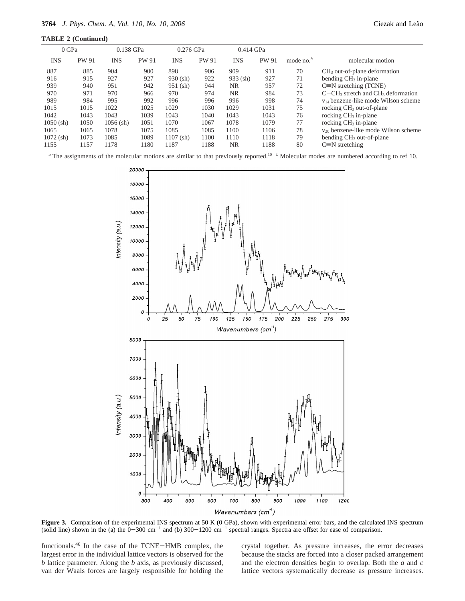| 0 GPa       |              | 0.138 GPa   |       | 0.276 GPa   |       | 0.414 GPa  |              |              |                                          |
|-------------|--------------|-------------|-------|-------------|-------|------------|--------------|--------------|------------------------------------------|
| <b>INS</b>  | <b>PW 91</b> | <b>INS</b>  | PW 91 | <b>INS</b>  | PW 91 | <b>INS</b> | <b>PW 91</b> | mode no. $b$ | molecular motion                         |
| 887         | 885          | 904         | 900   | 898         | 906   | 909        | 911          | 70           | $CH3$ out-of-plane deformation           |
| 916         | 915          | 927         | 927   | $930$ (sh)  | 922   | $933$ (sh) | 927          | 71           | bending $CH3$ in-plane                   |
| 939         | 940          | 951         | 942   | $951$ (sh)  | 944   | NR.        | 957          | 72           | $C \equiv N$ stretching (TCNE)           |
| 970         | 971          | 970         | 966   | 970         | 974   | NR.        | 984          | 73           | $C-CH3$ stretch and $CH3$ deformation    |
| 989         | 984          | 995         | 992   | 996         | 996   | 996        | 998          | 74           | $v_{14}$ benzene-like mode Wilson scheme |
| 1015        | 1015         | 1022        | 1025  | 1029        | 1030  | 1029       | 1031         | 75           | rocking $CH3$ out-of-plane               |
| 1042        | 1043         | 1043        | 1039  | 1043        | 1040  | 1043       | 1043         | 76           | rocking $CH3$ in-plane                   |
| $1050$ (sh) | 1050         | $1056$ (sh) | 1051  | 1070        | 1067  | 1078       | 1079         | 77           | rocking $CH3$ in-plane                   |
| 1065        | 1065         | 1078        | 1075  | 1085        | 1085  | 1100       | 1106         | 78           | $v_{20}$ benzene-like mode Wilson scheme |
| $1072$ (sh) | 1073         | 1085        | 1089  | $1107$ (sh) | 1100  | 1110       | 1118         | 79           | bending CH <sub>3</sub> out-of-plane     |
| 1155        | 1157         | 1178        | 1180  | 1187        | 1188  | NR.        | 1188         | 80           | $C=N$ stretching                         |

*a* The assignments of the molecular motions are similar to that previously reported.<sup>10</sup> *b* Molecular modes are numbered according to ref 10.





**Figure 3.** Comparison of the experimental INS spectrum at 50 K (0 GPa), shown with experimental error bars, and the calculated INS spectrum (solid line) shown in the (a) the  $0-300 \text{ cm}^{-1}$  and (b)  $300-1200 \text{ cm}^{-1}$  spectral ranges. Spectra are offset for ease of comparison.

functionals.46 In the case of the TCNE-HMB complex, the largest error in the individual lattice vectors is observed for the *b* lattice parameter. Along the *b* axis, as previously discussed, van der Waals forces are largely responsible for holding the

crystal together. As pressure increases, the error decreases because the stacks are forced into a closer packed arrangement and the electron densities begin to overlap. Both the *a* and *c* lattice vectors systematically decrease as pressure increases.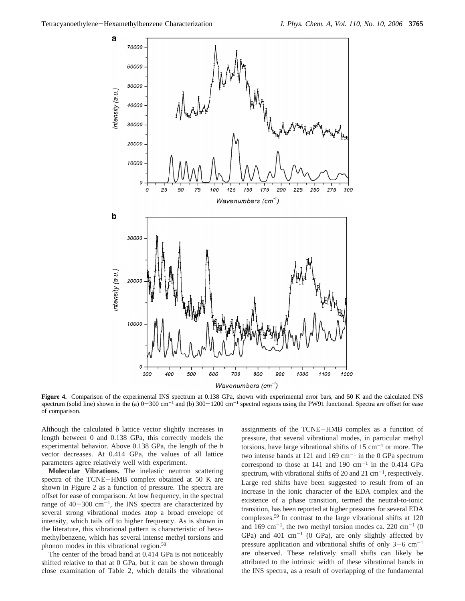

**Figure 4.** Comparison of the experimental INS spectrum at 0.138 GPa, shown with experimental error bars, and 50 K and the calculated INS spectrum (solid line) shown in the (a)  $0-300 \text{ cm}^{-1}$  and (b)  $300-1200 \text{ cm}^{-1}$  spectral regions using the PW91 functional. Spectra are offset for ease of comparison.

Although the calculated *b* lattice vector slightly increases in length between 0 and 0.138 GPa, this correctly models the experimental behavior. Above 0.138 GPa, the length of the *b* vector decreases. At 0.414 GPa, the values of all lattice parameters agree relatively well with experiment.

**Molecular Vibrations.** The inelastic neutron scattering spectra of the TCNE-HMB complex obtained at 50 K are shown in Figure 2 as a function of pressure. The spectra are offset for ease of comparison. At low frequency, in the spectral range of  $40-300$  cm<sup>-1</sup>, the INS spectra are characterized by several strong vibrational modes atop a broad envelope of intensity, which tails off to higher frequency. As is shown in the literature, this vibrational pattern is characteristic of hexamethylbenzene, which has several intense methyl torsions and phonon modes in this vibrational region.58

The center of the broad band at 0.414 GPa is not noticeably shifted relative to that at 0 GPa, but it can be shown through close examination of Table 2, which details the vibrational assignments of the TCNE-HMB complex as a function of pressure, that several vibrational modes, in particular methyl torsions, have large vibrational shifts of  $15 \text{ cm}^{-1}$  or more. The two intense bands at 121 and 169  $cm^{-1}$  in the 0 GPa spectrum correspond to those at 141 and 190  $cm^{-1}$  in the 0.414 GPa spectrum, with vibrational shifts of 20 and 21  $cm^{-1}$ , respectively. Large red shifts have been suggested to result from of an increase in the ionic character of the EDA complex and the existence of a phase transition, termed the neutral-to-ionic transition, has been reported at higher pressures for several EDA complexes.59 In contrast to the large vibrational shifts at 120 and 169 cm<sup>-1</sup>, the two methyl torsion modes ca. 220 cm<sup>-1</sup> (0) GPa) and 401  $cm^{-1}$  (0 GPa), are only slightly affected by pressure application and vibrational shifts of only  $3-6$  cm<sup>-1</sup> are observed. These relatively small shifts can likely be attributed to the intrinsic width of these vibrational bands in the INS spectra, as a result of overlapping of the fundamental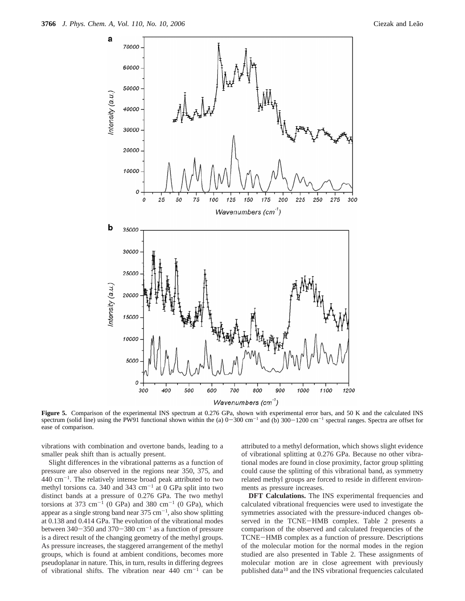

**Figure 5.** Comparison of the experimental INS spectrum at 0.276 GPa, shown with experimental error bars, and 50 K and the calculated INS spectrum (solid line) using the PW91 functional shown within the (a)  $0-300$  cm<sup>-1</sup> and (b)  $300-1200$  cm<sup>-1</sup> spectral ranges. Spectra are offset for ease of comparison.

vibrations with combination and overtone bands, leading to a smaller peak shift than is actually present.

Slight differences in the vibrational patterns as a function of pressure are also observed in the regions near 350, 375, and  $440 \text{ cm}^{-1}$ . The relatively intense broad peak attributed to two methyl torsions ca. 340 and 343 cm<sup>-1</sup> at 0 GPa split into two distinct bands at a pressure of 0.276 GPa. The two methyl torsions at 373 cm<sup>-1</sup> (0 GPa) and 380 cm<sup>-1</sup> (0 GPa), which appear as a single strong band near  $375 \text{ cm}^{-1}$ , also show splitting at 0.138 and 0.414 GPa. The evolution of the vibrational modes between  $340-350$  and  $370-380$  cm<sup>-1</sup> as a function of pressure is a direct result of the changing geometry of the methyl groups. As pressure increases, the staggered arrangement of the methyl groups, which is found at ambient conditions, becomes more pseudoplanar in nature. This, in turn, results in differing degrees of vibrational shifts. The vibration near  $440 \text{ cm}^{-1}$  can be attributed to a methyl deformation, which shows slight evidence of vibrational splitting at 0.276 GPa. Because no other vibrational modes are found in close proximity, factor group splitting could cause the splitting of this vibrational band, as symmetry related methyl groups are forced to reside in different environments as pressure increases.

DFT Calculations. The INS experimental frequencies and calculated vibrational frequencies were used to investigate the symmetries associated with the pressure-induced changes observed in the TCNE-HMB complex. Table 2 presents a comparison of the observed and calculated frequencies of the TCNE-HMB complex as a function of pressure. Descriptions of the molecular motion for the normal modes in the region studied are also presented in Table 2. These assignments of molecular motion are in close agreement with previously published data10 and the INS vibrational frequencies calculated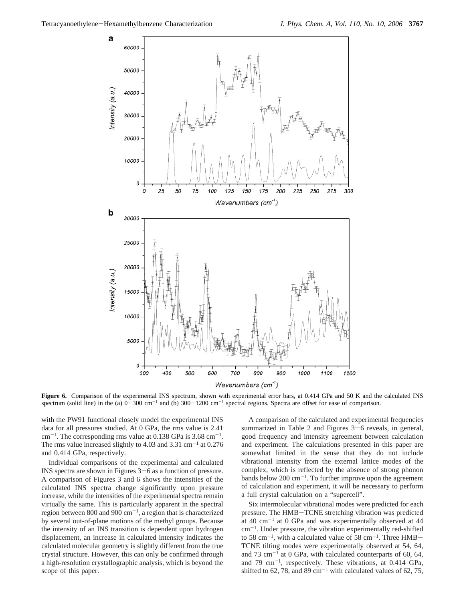

Figure 6. Comparison of the experimental INS spectrum, shown with experimental error bars, at 0.414 GPa and 50 K and the calculated INS spectrum (solid line) in the (a)  $0-300$  cm<sup>-1</sup> and (b)  $300-1200$  cm<sup>-1</sup> spectral regions. Spectra are offset for ease of comparison.

with the PW91 functional closely model the experimental INS data for all pressures studied. At 0 GPa, the rms value is 2.41  $cm^{-1}$ . The corresponding rms value at 0.138 GPa is 3.68 cm<sup>-1</sup>. The rms value increased slightly to 4.03 and 3.31  $\text{cm}^{-1}$  at 0.276 and 0.414 GPa, respectively.

Individual comparisons of the experimental and calculated INS spectra are shown in Figures 3-6 as a function of pressure. A comparison of Figures 3 and 6 shows the intensities of the calculated INS spectra change significantly upon pressure increase, while the intensities of the experimental spectra remain virtually the same. This is particularly apparent in the spectral region between 800 and 900  $cm^{-1}$ , a region that is characterized by several out-of-plane motions of the methyl groups. Because the intensity of an INS transition is dependent upon hydrogen displacement, an increase in calculated intensity indicates the calculated molecular geometry is slightly different from the true crystal structure. However, this can only be confirmed through a high-resolution crystallographic analysis, which is beyond the scope of this paper.

A comparison of the calculated and experimental frequencies summarized in Table 2 and Figures 3–6 reveals, in general, good frequency and intensity agreement between calculation and experiment. The calculations presented in this paper are somewhat limited in the sense that they do not include vibrational intensity from the external lattice modes of the complex, which is reflected by the absence of strong phonon bands below 200  $\text{cm}^{-1}$ . To further improve upon the agreement of calculation and experiment, it will be necessary to perform a full crystal calculation on a "supercell".

Six intermolecular vibrational modes were predicted for each pressure. The HMB-TCNE stretching vibration was predicted at 40  $\text{cm}^{-1}$  at 0 GPa and was experimentally observed at 44 cm-1. Under pressure, the vibration experimentally red-shifted to 58 cm<sup>-1</sup>, with a calculated value of 58 cm<sup>-1</sup>. Three HMB-TCNE tilting modes were experimentally observed at 54, 64, and 73 cm<sup>-1</sup> at 0 GPa, with calculated counterparts of 60, 64, and 79  $\text{cm}^{-1}$ , respectively. These vibrations, at 0.414 GPa, shifted to 62, 78, and 89 cm<sup>-1</sup> with calculated values of 62, 75,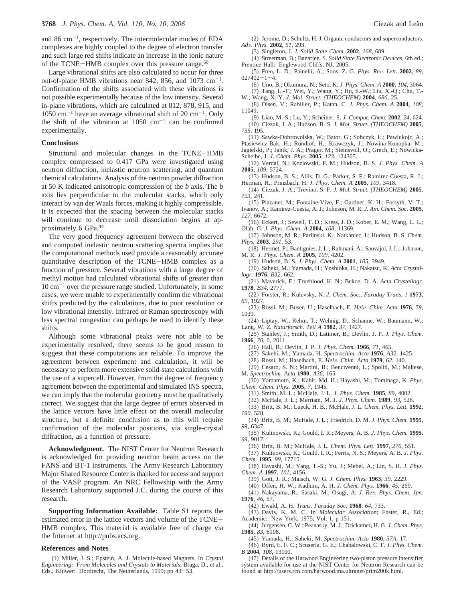and 86  $\text{cm}^{-1}$ , respectively. The intermolecular modes of EDA complexes are highly coupled to the degree of electron transfer and such large red shifts indicate an increase in the ionic nature of the TCNE-HMB complex over this pressure range.<sup>60</sup>

Large vibrational shifts are also calculated to occur for three out-of-plane HMB vibrations near 842, 856, and 1073  $cm^{-1}$ . Confirmation of the shifts associated with these vibrations is not possible experimentally because of the low intensity. Several in-plane vibrations, which are calculated at 812, 878, 915, and  $1050 \text{ cm}^{-1}$  have an average vibrational shift of 20 cm<sup>-1</sup>. Only the shift of the vibration at  $1050 \text{ cm}^{-1}$  can be confirmed experimentally.

#### **Conclusions**

Structural and molecular changes in the TCNE-HMB complex compressed to 0.417 GPa were investigated using neutron diffraction, inelastic neutron scattering, and quantum chemical calculations. Analysis of the neutron powder diffraction at 50 K indicated anisotropic compression of the *b* axis. The *b* axis lies perpendicular to the molecular stacks, which only interact by van der Waals forces, making it highly compressible. It is expected that the spacing between the molecular stacks will continue to decrease until dissociation begins at approximately 6 GPa.44

The very good frequency agreement between the observed and computed inelastic neutron scattering spectra implies that the computational methods used provide a reasonably accurate quantitative description of the TCNE-HMB complex as a function of pressure. Several vibrations with a large degree of methyl motion had calculated vibrational shifts of greater than  $10 \text{ cm}^{-1}$  over the pressure range studied. Unfortunately, in some cases, we were unable to experimentally confirm the vibrational shifts predicted by the calculations, due to poor resolution or low vibrational intensity. Infrared or Raman spectroscopy with less spectral congestion can perhaps be used to identify these shifts.

Although some vibrational peaks were not able to be experimentally resolved, there seems to be good reason to suggest that these computations are reliable. To improve the agreement between experiment and calculation, it will be necessary to perform more extensive solid-state calculations with the use of a supercell. However, from the degree of frequency agreement between the experimental and simulated INS spectra, we can imply that the molecular geometry must be qualitatively correct. We suggest that the large degree of errors observed in the lattice vectors have little effect on the overall molecular structure, but a definite conclusion as to this will require confirmation of the molecular positions, via single-crystal diffraction, as a function of pressure.

**Acknowledgment.** The NIST Center for Neutron Research is acknowledged for providing neutron beam access on the FANS and BT-1 instruments. The Army Research Laboratory Major Shared Resource Center is thanked for access and support of the VASP program. An NRC Fellowship with the Army Research Laboratory supported J.C. during the course of this research.

**Supporting Information Available:** Table S1 reports the estimated error in the lattice vectors and volume of the TCNE-HMB complex. This material is available free of charge via the Internet at http://pubs.acs.org.

#### **References and Notes**

(1) Miller, J. S.; Epstein, A. J. Molecule-based Magnets. In *Crystal Engineering: From Molecules and Crystals to Materials*; Braga, D., et al., Eds.; Kluwer: Dordrecht, The Netherlands, 1999; pp 43-53.

(2) Jerome, D.; Schultz, H. J. Organic conductors and superconductors. *Ad*V*. Phys.* **<sup>2002</sup>**, *<sup>51</sup>*, 293.

(3) Singleton, J. *J. Solid State Chem.* **2002**, *168*, 689.

(4) Streetman, B.; Banarjee, S. *Solid State Electronic De*V*ices*, 6th ed.; Prentice Hall: Englewood Cliffs, NJ, 2005.

- (5) Freo, L. D.; Painelli, A.; Soos, Z. G. *Phys. Re*V*. Lett.* **<sup>2002</sup>**, *<sup>89</sup>*,  $027402 - 1 - 4.$
- (6) Uno, B.; Okumura, N.; Seto, K. *J. Phys. Chem. A* **2000**, *104*, 3064. (7) Tang, L.-T.; Wei, Y.; Wang, Y.; Hu, S.-W.; Liu, X.-Q.; Chu, T.- W.; Wang, X.-Y. *J. Mol. Struct. (THEOCHEM)* **2004**, *686*, 25.
- (8) Oisen, V.; Rabiller, P.; Katan, C. *J. Phys. Chem. A* **2004**, *108*, 11049.
- (9) Liao, M.-S.; Lu, Y.; Scheiner, S. *J. Comput. Chem.* **2002**, *24*, 624. (10) Ciezak, J. A.; Hudson, B. S. *J. Mol. Struct. (THEOCHEM)* **2005**, *755*, 195.
- (11) Sawka-Dobrowolska, W.; Bator, G.; Sobczyk, L.; Pawlukojc, A.; Ptasiewicz-Bak, H.; Rundlöf, H.; Krawczyk, J.; Nowina-Konopka, M.; Jagielski, P.; Janik, J. A.; Prager, M.; Steinsvoll, O.; Grech, E.; Nowicka-Scheibe, J. *J. Chem. Phys.* **2005**, *123*, 124305.
- (12) Verdal, N.; Kozlowski, P. M.; Hudson, B. S. *J. Phys. Chem. A* **2005**, *109*, 5724.
- (13) Hudson, B. S.; Allis, D. G.; Parker, S. F.; Ramirez-Cuesta, R. J.; Herman, H.; Prinzbach, H. *J. Phys. Chem. A* **2005**, *109*, 3418.
- (14) Ciezak, J. A.; Trevino, S. F. *J. Mol. Struct. (THEOCHEM)* **2005**, *723*, 241.
- (15) Plazanet, M.; Fontaine-Vive, F.; Gardner, K. H.; Forsyth, V. T.; Ivanov, A.; Ramirez-Cuesta, A. J.; Johnson, M. R. *J. Am. Chem. Soc.* **2005**, *127*, 6672.

(16) Eckert, J.; Sewell, T. D.; Kress, J. D.; Kober, E. M.; Wang, L. L.; Olah, G. *J. Phys. Chem. A* **2004**, *108*, 11369.

- (17) Johnson, M. R.; Parlinski, K.; Natkaniec, I.; Hudson, B. S. *Chem. Phys.* **2003**, *291*, 53.
- (18) Hermet, P.; Bantignies, J. L.; Rahmani, A.; Sauvajol, J. L.; Johnson, M. R. *J. Phys. Chem. A* **2005**, *109*, 4202.
	- (19) Hudson, B. S. *J. Phys. Chem. A* **2001**, *105*, 3949.

(20) Saheki, M.; Yamada, H.; Yoshioka, H.; Nakatsu, K. *Acta Crystallogr.* **1976**, *B32*, 662.

- (21) Maverick, E.; Trueblood, K. N.; Bekoe, D. A. *Acta Crystallogr.* **1978**, *B34*, 2777.
- (22) Forster, R.; Kulevsky, N. *J. Chem. Soc., Faraday Trans. 1* **1973**, *69*, 1927.
- (23) Rossi, M.; Buser, U.; Haselbach, E. *Hel*V*. Chim. Acta* **<sup>1976</sup>**, *<sup>59</sup>*, 1039.

(24) Liptay, W.; Rehm, T.; Wehnig, D.; Schanne, W.; Baumann, W.; Lang, W. *Z. Naturforsch. Teil A* **1982**, *37*, 1427.

(25) Stanley, J.; Smith, D.; Latimer, B.; Devlin, J. P. *J. Phys. Chem.* **1966**, *70*, 0, 2011.

- (26) Hall, B.; Devlin, J. P. *J. Phys. Chem.* **1966**, *71*, 465.
- (27) Sakehi, M.; Yamada, H. *Spectrochim. Acta* **1976**, *A32*, 1425.
- (28) Rossi, M.; Haselbach, E. *Hel*V*. Chim. Acta* **<sup>1979</sup>**, *<sup>62</sup>*, 140.
- (29) Cesaro, S. N.; Martini, B.; Bencivenni, L.; Spoliti, M.; Maltese, M. *Spectrochim. Acta* **1980**, *A36*, 165.
- (30) Yamamoto, K.; Kabit, Md. H.; Hayashi, M.; Tominaga, K. *Phys. Chem. Chem. Phys.* **2005**, *7*, 1945.
	- (31) Smith, M. L.; McHale, J. L. *J. Phys. Chem.* **1985**, *89*, 4002.
	- (32) McHale, J. L.; Merriam, M. J. *J. Phys. Chem.* **1989**, *93*, 526.
- (33) Britt, B. M.; Lueck, H. B.; McHale, J. L. *Chem. Phys. Lett.* **1992**, *190*, 528.
- (34) Britt, B. M.; McHale, J. L.; Friedrich, D. M. *J. Phys. Chem.* **1995**, *99*, 6347.
- (35) Kulinowski, K.; Gould, I. R.; Meyers, A. B. *J. Phys. Chem.* **1995**, *99*, 9017.
	- (36) Britt, B. M.; McHale, J. L. *Chem. Phys. Lett.* **1997**, *270*, 551.
- (37) Kulinowski, K.; Gould, I. R.; Ferris, N. S.; Meyers, A. B. *J. Phys. Chem.* **1995**, *99*, 17715.
- (38) Hayashi, M.; Yang, T.-S.; Yu, J.; Mebel, A.; Lin, S. H. *J. Phys. Chem. A* **1997**, *101*, 4156.
	- (39) Gott, J. R.; Maisch, W. G. *J. Chem. Phys.* **1963**, *39*, 2229.
	- (40) Offen, H. W.; Kadhim, A. H. *J. Chem. Phys.* **1966**, *45*, 269.
- (41) Nakayama, R.; Sasaki, M.; Osugi, A. *J. Re*V*. Phys. Chem. Jpn.* **1976**, *46*, 57.
	- (42) Ewald, A. H. *Trans. Faraday Soc.* **1968**, *64*, 733.

(43) Davis, K. M. C. In *Molecular Association*; Foster, R., Ed.; Academic: New York, 1975; Vol. 1, p 151.

- (44) Jurgensen, C. W.; Peanasky, M. J.; Drickamer, H. G. *J. Chem. Phys.* **1985**, *83*, 6108.
	- (45) Yamada, H.; Saheki, M. *Spectrochim. Acta* **1980**, *37A*, 17.

(46) Byrd, E. F. C.; Scuseria, G. E.; Chabalowski, C. F. *J. Phys. Chem. B* **2004**, *108*, 13100.

(47) Details of the Harwood Engineering two-piston pressure intensifier system available for use at the NIST Center for Neutron Research can be found at http://users.rcn.com/harwood.ma.ultranet/prim200k.html.